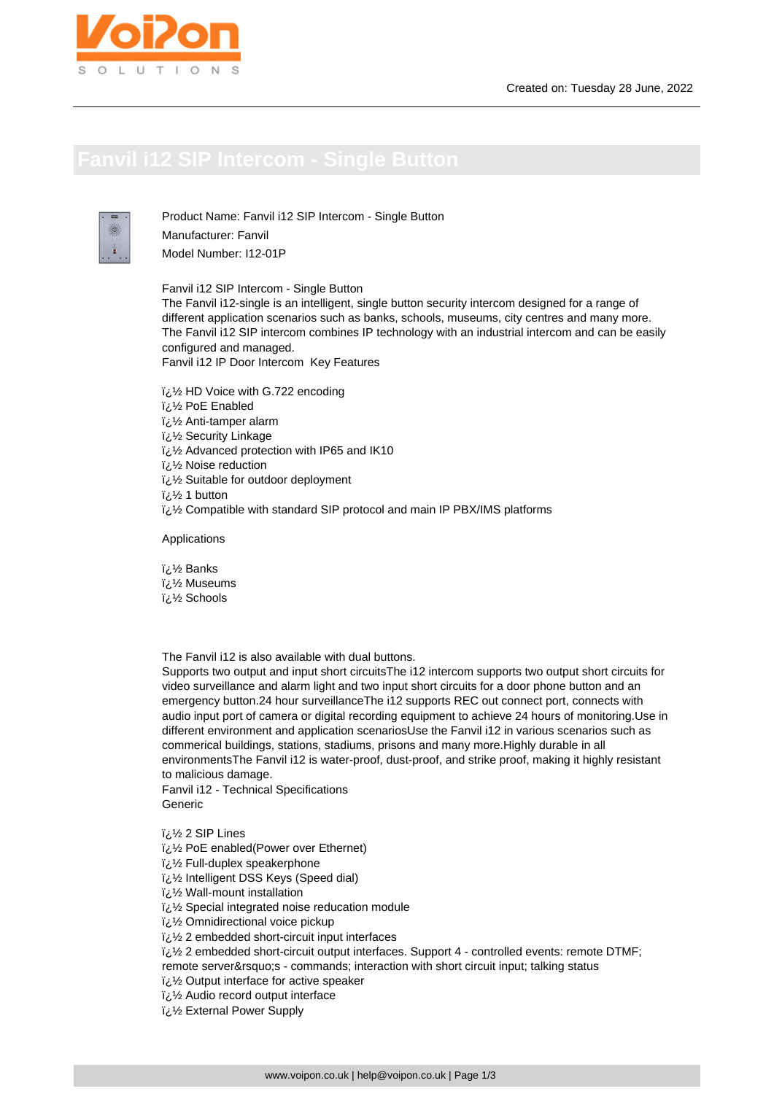

Product Name: Fanvil i12 SIP Intercom - Single Button Manufacturer: Fanvil Model Number: I12-01P

Fanvil i12 SIP Intercom - Single Button

The Fanvil i12-single is an intelligent, single button security intercom designed for a range of different application scenarios such as banks, schools, museums, city centres and many more. The Fanvil i12 SIP intercom combines IP technology with an industrial intercom and can be easily configured and managed.

Fanvil i12 IP Door Intercom Key Features

- � HD Voice with G.722 encoding
- � PoE Enabled
- $\frac{1}{2}$ /<sub>2</sub> Anti-tamper alarm
- � Security Linkage
- $\frac{1}{2}$ زi/ Advanced protection with IP65 and IK10
- � Noise reduction
- i¿1/2 Suitable for outdoor deployment
- $i\lambda$ <sup>1</sup> 1 button
- � Compatible with standard SIP protocol and main IP PBX/IMS platforms

Applications

i<sub>i.</sub>1/<sub>2</sub> Banks i<sub>i.</sub>% Museums i¿½ Schools

The Fanvil i12 is also available with dual buttons.

Supports two output and input short circuitsThe i12 intercom supports two output short circuits for video surveillance and alarm light and two input short circuits for a door phone button and an emergency button.24 hour surveillanceThe i12 supports REC out connect port, connects with audio input port of camera or digital recording equipment to achieve 24 hours of monitoring.Use in different environment and application scenariosUse the Fanvil i12 in various scenarios such as commerical buildings, stations, stadiums, prisons and many more.Highly durable in all environmentsThe Fanvil i12 is water-proof, dust-proof, and strike proof, making it highly resistant to malicious damage.

Fanvil i12 - Technical Specifications Generic

i<sub>i</sub>/<sub>2</sub> 2 SIP Lines

� PoE enabled(Power over Ethernet)

i¿1/2 Full-duplex speakerphone

� Intelligent DSS Keys (Speed dial)

- � Wall-mount installation
- $\frac{1}{2}$ لخ Special integrated noise reducation module
- i¿1/2 Omnidirectional voice pickup
- لَ 2 embedded short-circuit input interfaces
- � 2 embedded short-circuit output interfaces. Support 4 controlled events: remote DTMF;

remote server's - commands; interaction with short circuit input; talking status

- i¿1/2 Output interface for active speaker
- $\frac{1}{2}$ /2 Audio record output interface
- � External Power Supply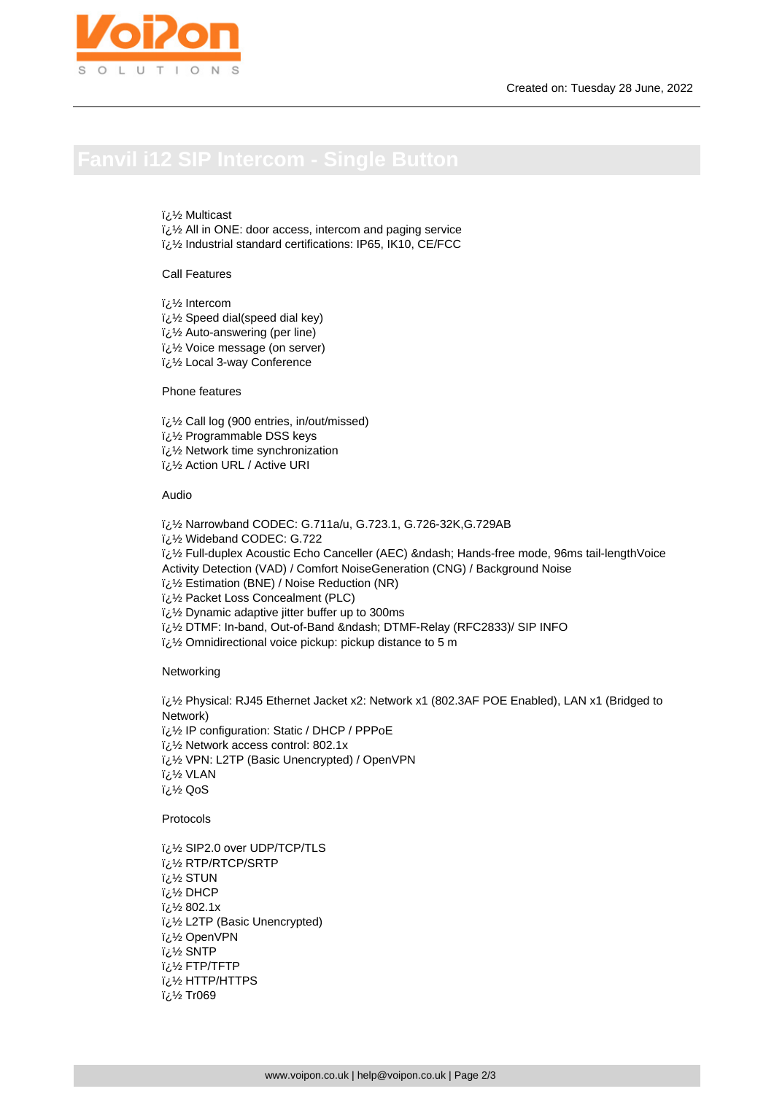## *i* 1⁄2 Multicast

 $i\lambda$  All in ONE: door access, intercom and paging service لذرة Industrial standard certifications: IP65, IK10, CE/FCC

Call Features

i¿1⁄2 Intercom

i<sub>i</sub> 1/<sub>2</sub> Speed dial(speed dial key)

� Auto-answering (per line)

� Voice message (on server)

� Local 3-way Conference

Phone features

� Call log (900 entries, in/out/missed)

� Programmable DSS keys

 $\frac{1}{2}$ ن Network time synchronization

� Action URL / Active URI

### Audio

� Narrowband CODEC: G.711a/u, G.723.1, G.726-32K,G.729AB

� Wideband CODEC: G.722

 $i,j'$  Full-duplex Acoustic Echo Canceller (AEC) – Hands-free mode, 96ms tail-lengthVoice

Activity Detection (VAD) / Comfort NoiseGeneration (CNG) / Background Noise

� Estimation (BNE) / Noise Reduction (NR)

i¿1/2 Packet Loss Concealment (PLC)

 $i\lambda$  Dynamic adaptive jitter buffer up to 300ms

 $i,j$ % DTMF: In-band, Out-of-Band – DTMF-Relay (RFC2833)/ SIP INFO

 $i\lambda$ 's Omnidirectional voice pickup: pickup distance to 5 m

**Networking** 

� Physical: RJ45 Ethernet Jacket x2: Network x1 (802.3AF POE Enabled), LAN x1 (Bridged to Network) i¿1/2 IP configuration: Static / DHCP / PPPoE  $\frac{1}{2}$ % Network access control: 802.1x  $i\&\%$  VPN: L2TP (Basic Unencrypted) / OpenVPN � VLAN � QoS

**Protocols** 

i¿1/2 SIP2.0 over UDP/TCP/TLS RTP/RTCP/SRTP لأرنآ **i**<sub>¿</sub>½ STUN DHCP لأنة 802.1x ½ة � L2TP (Basic Unencrypted) OpenVPN ½¿آ SNTP لازة FTP/TFTP لائ ii/<sub>2</sub> HTTP/HTTPS ii 1/<sub>2</sub> Tr069